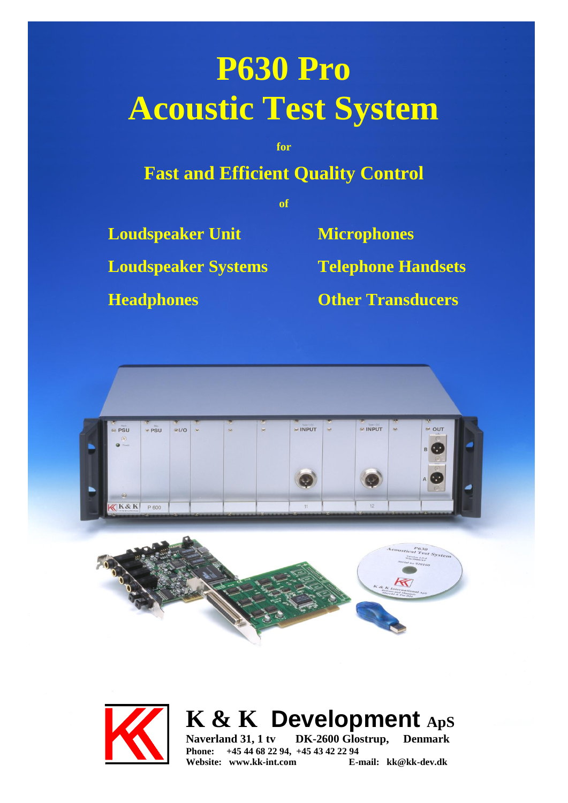# **P630 Pro Acoustic Test System**

**for**

## **Fast and Efficient Quality Control**

**of**

**Loudspeaker Unit Microphones**

**Loudspeaker Systems Telephone Handsets**

**Headphones Other Transducers**







**K & K Development ApS**

**Naverland 31, 1 tv DK-2600 Glostrup, Denmark Phone:** +45 44 68 22 94, +45 43 42 22 94<br>Website: www.kk-int.com **E**-mail: kk@kk-dev.dk Website: www.kk-int.com